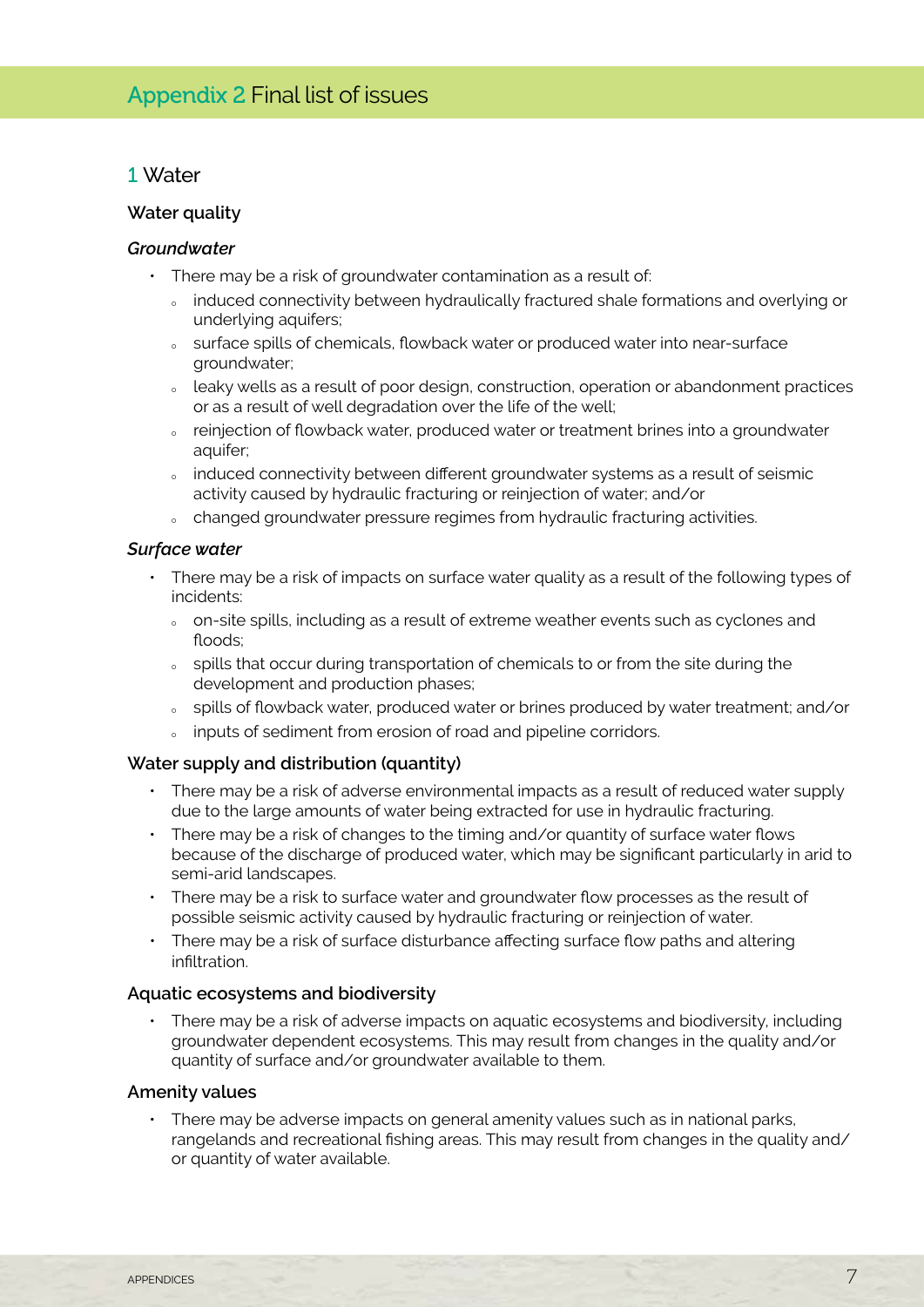## 1 Water

### **Water quality**

### *Groundwater*

- There may be a risk of groundwater contamination as a result of:
	- our induced connectivity between hydraulically fractured shale formations and overlying or underlying aquifers;
	- ourface spills of chemicals, flowback water or produced water into near-surface groundwater;
	- $\delta$  leaky wells as a result of poor design, construction, operation or abandonment practices or as a result of well degradation over the life of the well;
	- o reinjection of flowback water, produced water or treatment brines into a groundwater aquifer;
	- o induced connectivity between different groundwater systems as a result of seismic activity caused by hydraulic fracturing or reinjection of water; and/or
	- <sup>Ȉ</sup> changed groundwater pressure regimes from hydraulic fracturing activities.

### *Surface water*

- • There may be a risk of impacts on surface water quality as a result of the following types of incidents:
	- <sup>Ȉ</sup> on-site spills, including as a result of extreme weather events such as cyclones and floods;
	- spills that occur during transportation of chemicals to or from the site during the development and production phases;
	- o spills of flowback water, produced water or brines produced by water treatment; and/or
	- inputs of sediment from erosion of road and pipeline corridors.

### **Water supply and distribution (quantity)**

- • There may be a risk of adverse environmental impacts as a result of reduced water supply due to the large amounts of water being extracted for use in hydraulic fracturing.
- There may be a risk of changes to the timing and/or quantity of surface water flows because of the discharge of produced water, which may be significant particularly in arid to semi-arid landscapes.
- There may be a risk to surface water and groundwater flow processes as the result of possible seismic activity caused by hydraulic fracturing or reinjection of water.
- There may be a risk of surface disturbance affecting surface flow paths and altering infiltration.

#### **Aquatic ecosystems and biodiversity**

• There may be a risk of adverse impacts on aquatic ecosystems and biodiversity, including groundwater dependent ecosystems. This may result from changes in the quality and/or quantity of surface and/or groundwater available to them.

### **Amenity values**

• There may be adverse impacts on general amenity values such as in national parks, rangelands and recreational fishing areas. This may result from changes in the quality and/ or quantity of water available.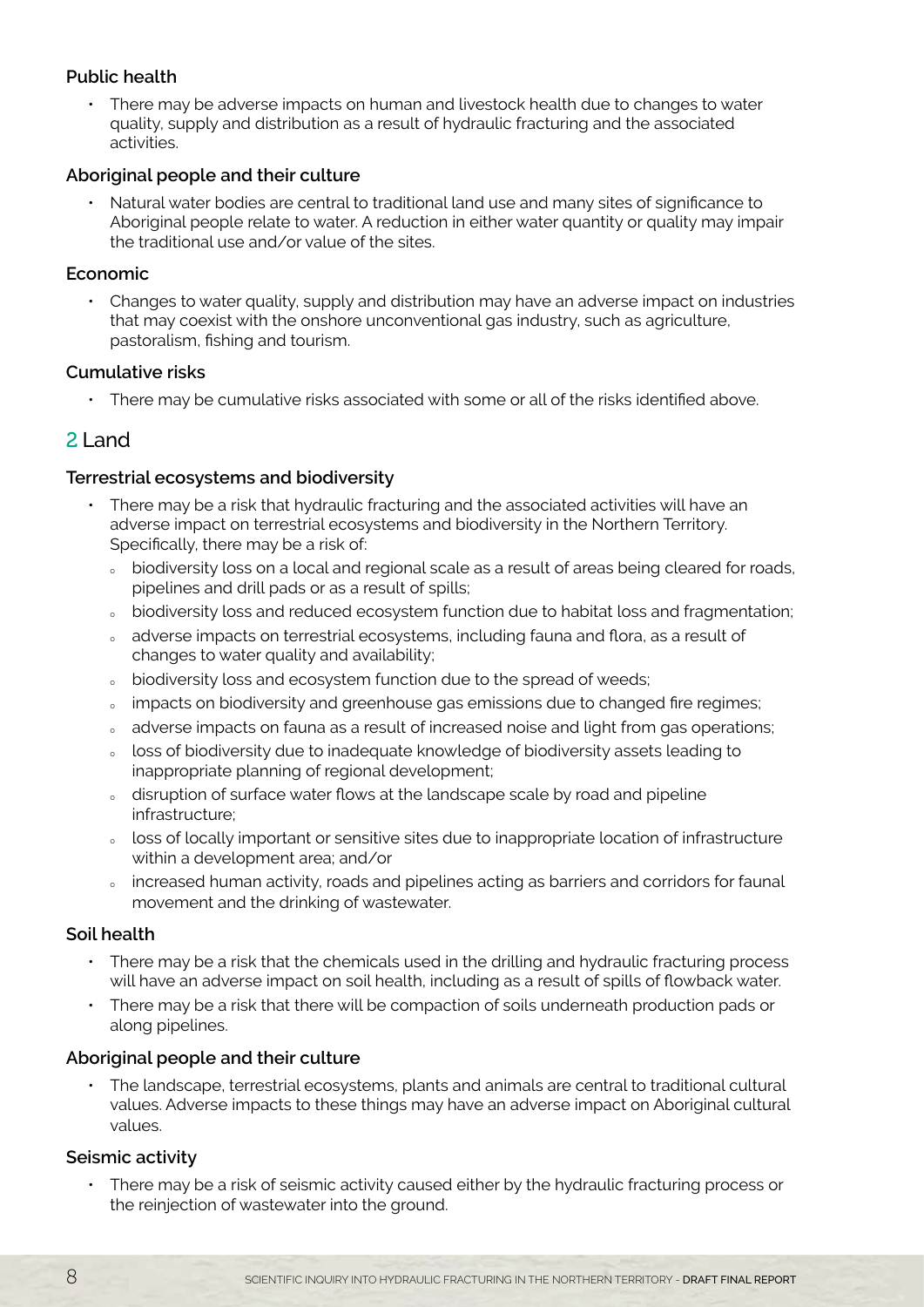## **Public health**

There may be adverse impacts on human and livestock health due to changes to water quality, supply and distribution as a result of hydraulic fracturing and the associated activities.

## **Aboriginal people and their culture**

Natural water bodies are central to traditional land use and many sites of significance to Aboriginal people relate to water. A reduction in either water quantity or quality may impair the traditional use and/or value of the sites.

### **Economic**

• Changes to water quality, supply and distribution may have an adverse impact on industries that may coexist with the onshore unconventional gas industry, such as agriculture, pastoralism, fishing and tourism.

## **Cumulative risks**

• There may be cumulative risks associated with some or all of the risks identified above.

# 2 Land

## **Terrestrial ecosystems and biodiversity**

- There may be a risk that hydraulic fracturing and the associated activities will have an adverse impact on terrestrial ecosystems and biodiversity in the Northern Territory. Specifically, there may be a risk of:
	- obiodiversity loss on a local and regional scale as a result of areas being cleared for roads, pipelines and drill pads or as a result of spills;
	- <sup>Ȉ</sup> biodiversity loss and reduced ecosystem function due to habitat loss and fragmentation;
	- <sup>Ȉ</sup> adverse impacts on terrestrial ecosystems, including fauna and flora, as a result of changes to water quality and availability;
	- obiodiversity loss and ecosystem function due to the spread of weeds;
	- impacts on biodiversity and greenhouse gas emissions due to changed fire regimes;
	- o adverse impacts on fauna as a result of increased noise and light from gas operations;
	- loss of biodiversity due to inadequate knowledge of biodiversity assets leading to inappropriate planning of regional development;
	- o disruption of surface water flows at the landscape scale by road and pipeline infrastructure;
	- o loss of locally important or sensitive sites due to inappropriate location of infrastructure within a development area; and/or
	- <sup>Ȉ</sup> increased human activity, roads and pipelines acting as barriers and corridors for faunal movement and the drinking of wastewater.

## **Soil health**

- There may be a risk that the chemicals used in the drilling and hydraulic fracturing process will have an adverse impact on soil health, including as a result of spills of flowback water.
- • There may be a risk that there will be compaction of soils underneath production pads or along pipelines.

## **Aboriginal people and their culture**

The landscape, terrestrial ecosystems, plants and animals are central to traditional cultural values. Adverse impacts to these things may have an adverse impact on Aboriginal cultural values.

## **Seismic activity**

There may be a risk of seismic activity caused either by the hydraulic fracturing process or the reinjection of wastewater into the ground.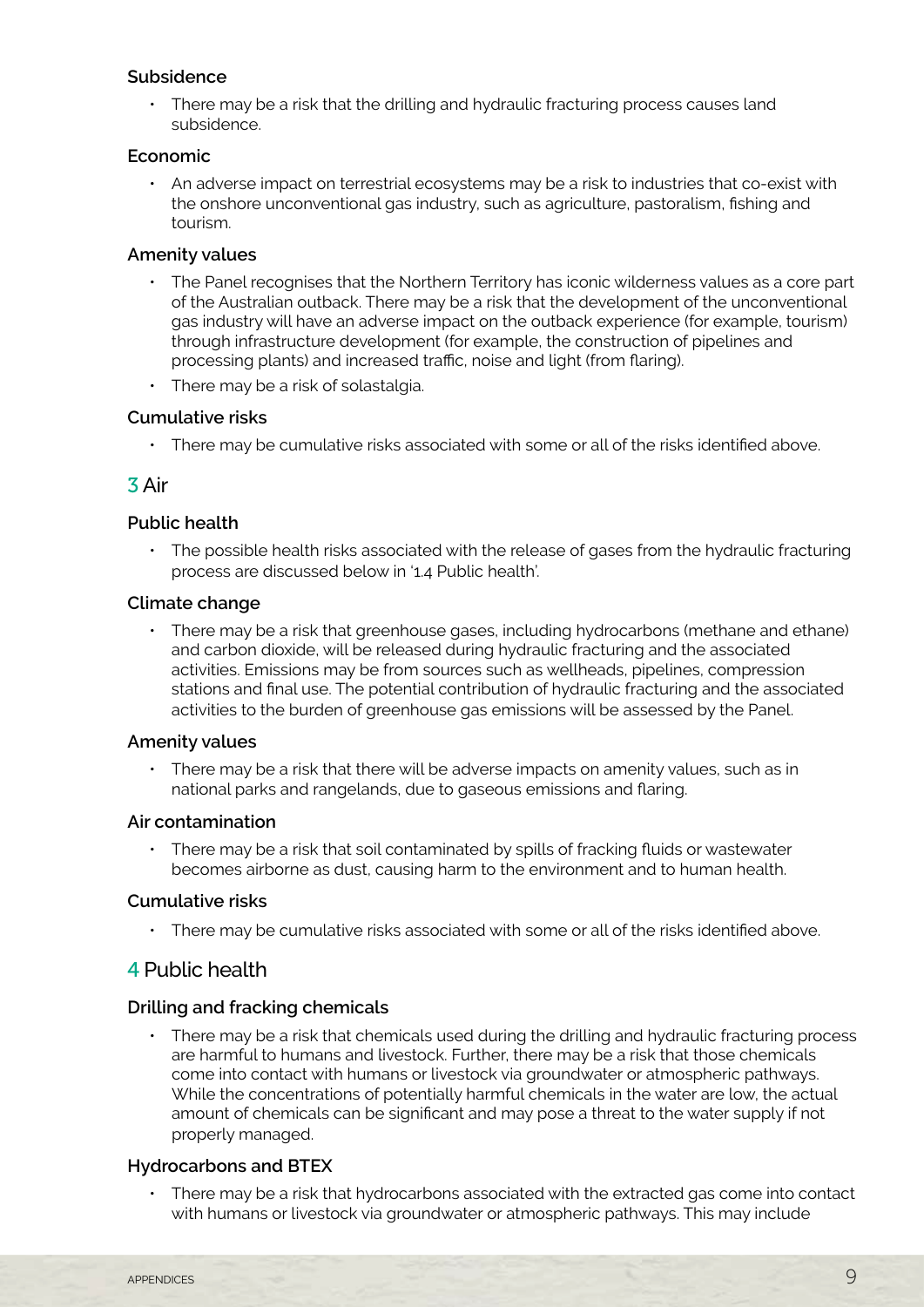## **Subsidence**

• There may be a risk that the drilling and hydraulic fracturing process causes land subsidence.

### **Economic**

• An adverse impact on terrestrial ecosystems may be a risk to industries that co-exist with the onshore unconventional gas industry, such as agriculture, pastoralism, fishing and tourism.

## **Amenity values**

- The Panel recognises that the Northern Territory has iconic wilderness values as a core part of the Australian outback. There may be a risk that the development of the unconventional gas industry will have an adverse impact on the outback experience (for example, tourism) through infrastructure development (for example, the construction of pipelines and processing plants) and increased traffic, noise and light (from flaring).
- There may be a risk of solastalgia.

## **Cumulative risks**

• There may be cumulative risks associated with some or all of the risks identified above.

## 3 Air

### **Public health**

• The possible health risks associated with the release of gases from the hydraulic fracturing process are discussed below in '1.4 Public health'.

### **Climate change**

• There may be a risk that greenhouse gases, including hydrocarbons (methane and ethane) and carbon dioxide, will be released during hydraulic fracturing and the associated activities. Emissions may be from sources such as wellheads, pipelines, compression stations and final use. The potential contribution of hydraulic fracturing and the associated activities to the burden of greenhouse gas emissions will be assessed by the Panel.

### **Amenity values**

There may be a risk that there will be adverse impacts on amenity values, such as in national parks and rangelands, due to gaseous emissions and flaring.

### **Air contamination**

• There may be a risk that soil contaminated by spills of fracking fluids or wastewater becomes airborne as dust, causing harm to the environment and to human health.

### **Cumulative risks**

• There may be cumulative risks associated with some or all of the risks identified above.

## 4 Public health

### **Drilling and fracking chemicals**

There may be a risk that chemicals used during the drilling and hydraulic fracturing process are harmful to humans and livestock. Further, there may be a risk that those chemicals come into contact with humans or livestock via groundwater or atmospheric pathways. While the concentrations of potentially harmful chemicals in the water are low, the actual amount of chemicals can be significant and may pose a threat to the water supply if not properly managed.

### **Hydrocarbons and BTEX**

There may be a risk that hydrocarbons associated with the extracted gas come into contact with humans or livestock via groundwater or atmospheric pathways. This may include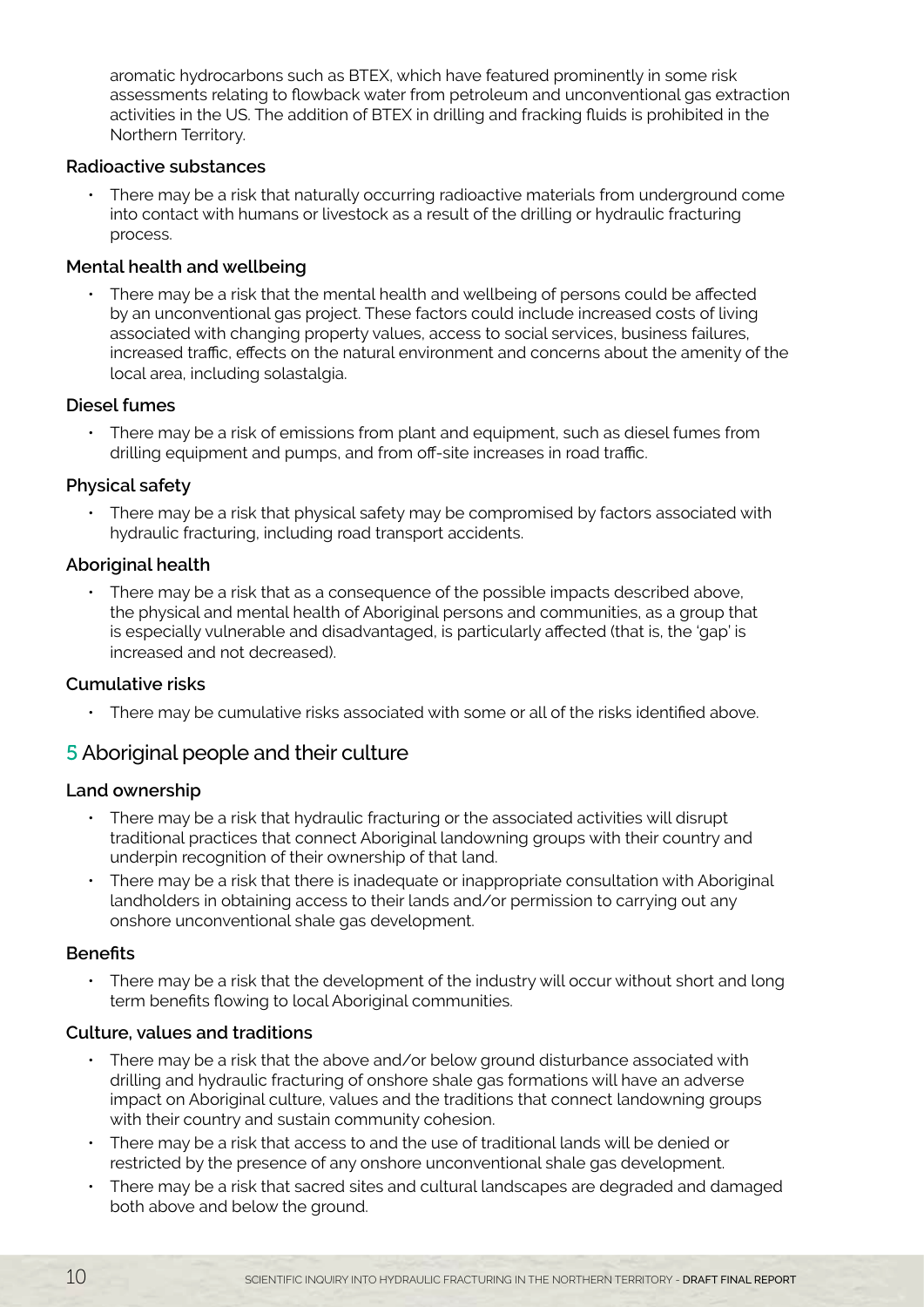aromatic hydrocarbons such as BTEX, which have featured prominently in some risk assessments relating to flowback water from petroleum and unconventional gas extraction activities in the US. The addition of BTEX in drilling and fracking fluids is prohibited in the Northern Territory.

## **Radioactive substances**

There may be a risk that naturally occurring radioactive materials from underground come into contact with humans or livestock as a result of the drilling or hydraulic fracturing process.

## **Mental health and wellbeing**

There may be a risk that the mental health and wellbeing of persons could be affected by an unconventional gas project. These factors could include increased costs of living associated with changing property values, access to social services, business failures, increased traffic, effects on the natural environment and concerns about the amenity of the local area, including solastalgia.

### **Diesel fumes**

There may be a risk of emissions from plant and equipment, such as diesel fumes from drilling equipment and pumps, and from off-site increases in road traffic.

## **Physical safety**

• There may be a risk that physical safety may be compromised by factors associated with hydraulic fracturing, including road transport accidents.

## **Aboriginal health**

There may be a risk that as a consequence of the possible impacts described above, the physical and mental health of Aboriginal persons and communities, as a group that is especially vulnerable and disadvantaged, is particularly affected (that is, the 'gap' is increased and not decreased).

## **Cumulative risks**

• There may be cumulative risks associated with some or all of the risks identified above.

# 5 Aboriginal people and their culture

### **Land ownership**

- • There may be a risk that hydraulic fracturing or the associated activities will disrupt traditional practices that connect Aboriginal landowning groups with their country and underpin recognition of their ownership of that land.
- There may be a risk that there is inadequate or inappropriate consultation with Aboriginal landholders in obtaining access to their lands and/or permission to carrying out any onshore unconventional shale gas development.

### **Benefits**

There may be a risk that the development of the industry will occur without short and long term benefits flowing to local Aboriginal communities.

### **Culture, values and traditions**

- There may be a risk that the above and/or below ground disturbance associated with drilling and hydraulic fracturing of onshore shale gas formations will have an adverse impact on Aboriginal culture, values and the traditions that connect landowning groups with their country and sustain community cohesion.
- There may be a risk that access to and the use of traditional lands will be denied or restricted by the presence of any onshore unconventional shale gas development.
- There may be a risk that sacred sites and cultural landscapes are degraded and damaged both above and below the ground.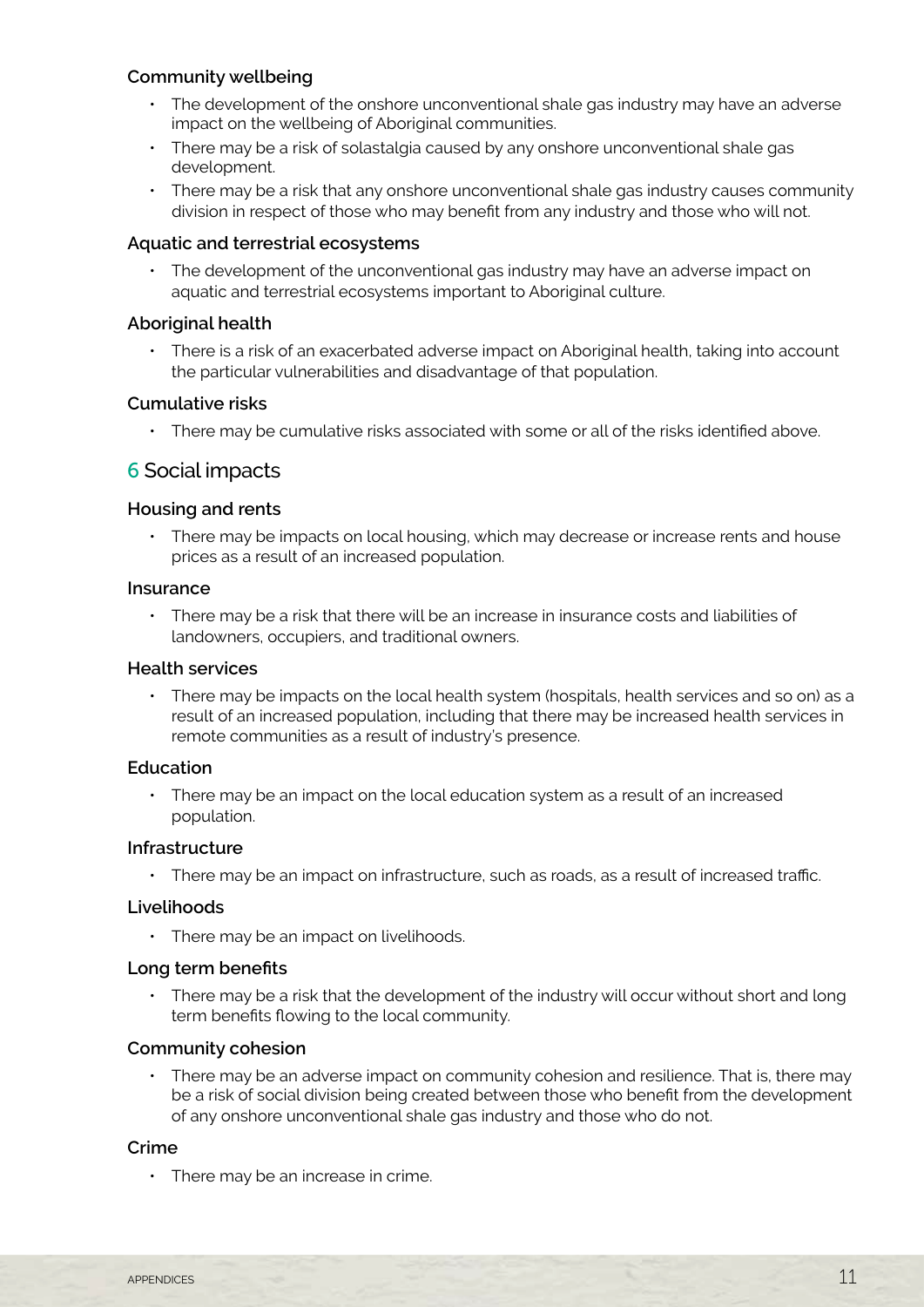## **Community wellbeing**

- The development of the onshore unconventional shale gas industry may have an adverse impact on the wellbeing of Aboriginal communities.
- There may be a risk of solastalgia caused by any onshore unconventional shale gas development.
- There may be a risk that any onshore unconventional shale gas industry causes community division in respect of those who may benefit from any industry and those who will not.

### **Aquatic and terrestrial ecosystems**

• The development of the unconventional gas industry may have an adverse impact on aquatic and terrestrial ecosystems important to Aboriginal culture.

### **Aboriginal health**

• There is a risk of an exacerbated adverse impact on Aboriginal health, taking into account the particular vulnerabilities and disadvantage of that population.

#### **Cumulative risks**

• There may be cumulative risks associated with some or all of the risks identified above.

## 6 Social impacts

#### **Housing and rents**

There may be impacts on local housing, which may decrease or increase rents and house prices as a result of an increased population.

#### **Insurance**

• There may be a risk that there will be an increase in insurance costs and liabilities of landowners, occupiers, and traditional owners.

#### **Health services**

• There may be impacts on the local health system (hospitals, health services and so on) as a result of an increased population, including that there may be increased health services in remote communities as a result of industry's presence.

#### **Education**

• There may be an impact on the local education system as a result of an increased population.

#### **Infrastructure**

• There may be an impact on infrastructure, such as roads, as a result of increased traffic.

#### **Livelihoods**

• There may be an impact on livelihoods.

#### **Long term benefits**

• There may be a risk that the development of the industry will occur without short and long term benefits flowing to the local community.

### **Community cohesion**

• There may be an adverse impact on community cohesion and resilience. That is, there may be a risk of social division being created between those who benefit from the development of any onshore unconventional shale gas industry and those who do not.

#### **Crime**

 $\cdot$  There may be an increase in crime.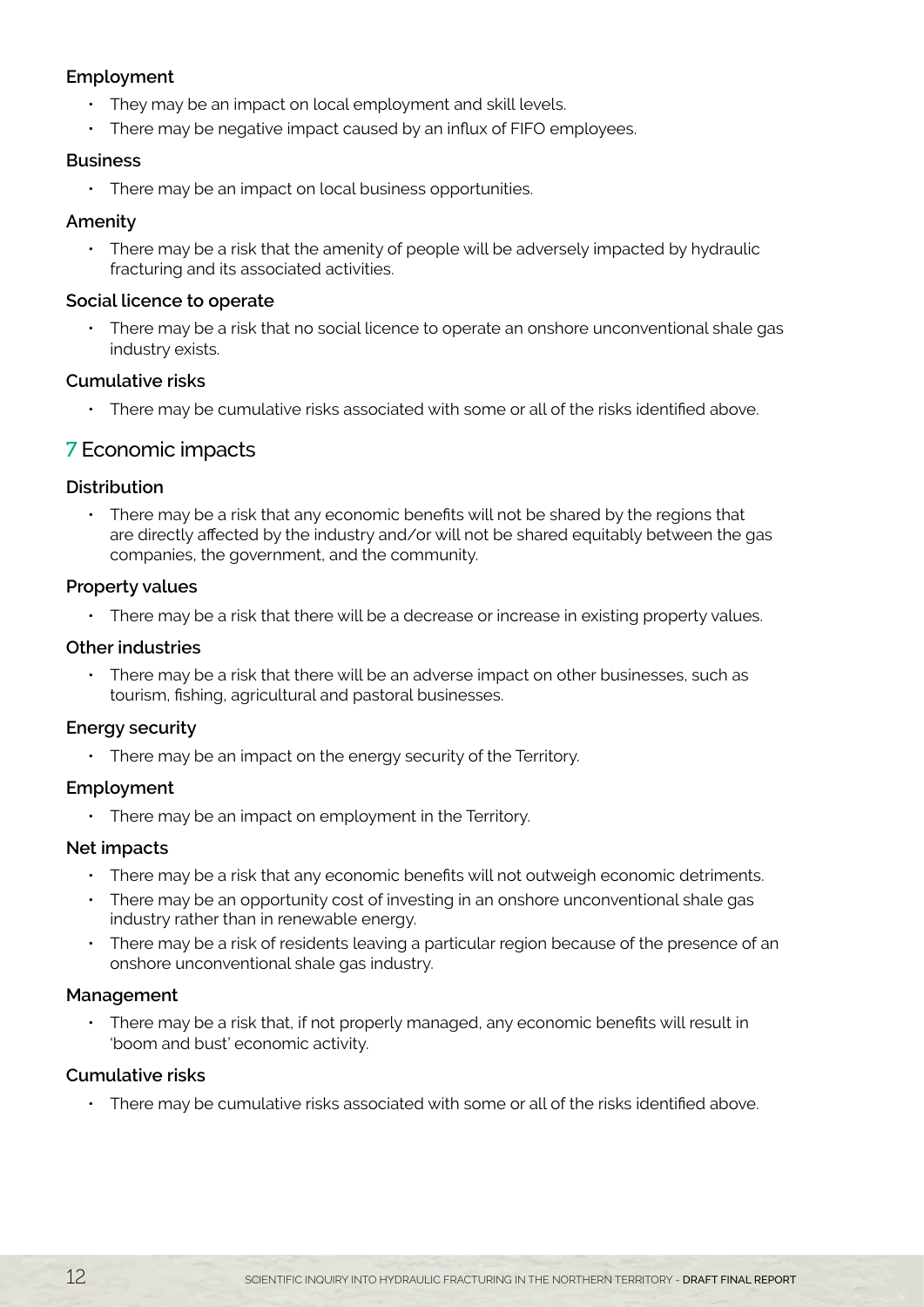## **Employment**

- They may be an impact on local employment and skill levels.
- There may be negative impact caused by an influx of FIFO employees.

### **Business**

• There may be an impact on local business opportunities.

## **Amenity**

• There may be a risk that the amenity of people will be adversely impacted by hydraulic fracturing and its associated activities.

## **Social licence to operate**

There may be a risk that no social licence to operate an onshore unconventional shale gas industry exists.

## **Cumulative risks**

• There may be cumulative risks associated with some or all of the risks identified above.

# 7 Economic impacts

## **Distribution**

• There may be a risk that any economic benefits will not be shared by the regions that are directly affected by the industry and/or will not be shared equitably between the gas companies, the government, and the community.

## **Property values**

• There may be a risk that there will be a decrease or increase in existing property values.

## **Other industries**

• There may be a risk that there will be an adverse impact on other businesses, such as tourism, fishing, agricultural and pastoral businesses.

## **Energy security**

• There may be an impact on the energy security of the Territory.

### **Employment**

• There may be an impact on employment in the Territory.

## **Net impacts**

- There may be a risk that any economic benefits will not outweigh economic detriments.
- There may be an opportunity cost of investing in an onshore unconventional shale gas industry rather than in renewable energy.
- There may be a risk of residents leaving a particular region because of the presence of an onshore unconventional shale gas industry.

## **Management**

• There may be a risk that, if not properly managed, any economic benefits will result in 'boom and bust' economic activity.

## **Cumulative risks**

• There may be cumulative risks associated with some or all of the risks identified above.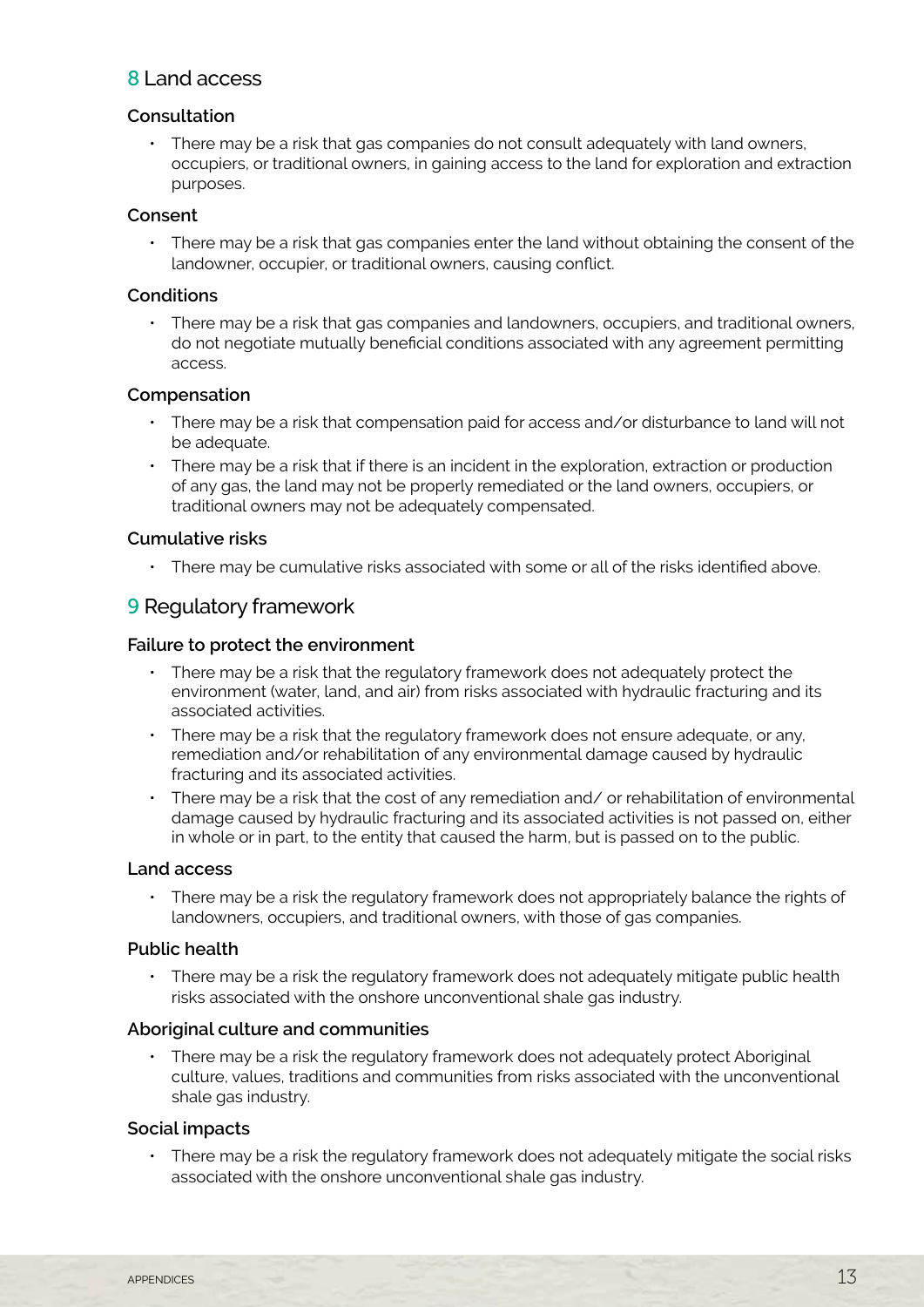# 8 Land access

## **Consultation**

• There may be a risk that gas companies do not consult adequately with land owners, occupiers, or traditional owners, in gaining access to the land for exploration and extraction purposes.

## **Consent**

• There may be a risk that gas companies enter the land without obtaining the consent of the landowner, occupier, or traditional owners, causing conflict.

## **Conditions**

There may be a risk that gas companies and landowners, occupiers, and traditional owners, do not negotiate mutually beneficial conditions associated with any agreement permitting access.

## **Compensation**

- There may be a risk that compensation paid for access and/or disturbance to land will not be adequate.
- • There may be a risk that if there is an incident in the exploration, extraction or production of any gas, the land may not be properly remediated or the land owners, occupiers, or traditional owners may not be adequately compensated.

## **Cumulative risks**

• There may be cumulative risks associated with some or all of the risks identified above.

# 9 Regulatory framework

### **Failure to protect the environment**

- • There may be a risk that the regulatory framework does not adequately protect the environment (water, land, and air) from risks associated with hydraulic fracturing and its associated activities.
- There may be a risk that the regulatory framework does not ensure adequate, or any, remediation and/or rehabilitation of any environmental damage caused by hydraulic fracturing and its associated activities.
- There may be a risk that the cost of any remediation and/ or rehabilitation of environmental damage caused by hydraulic fracturing and its associated activities is not passed on, either in whole or in part, to the entity that caused the harm, but is passed on to the public.

### **Land access**

• There may be a risk the regulatory framework does not appropriately balance the rights of landowners, occupiers, and traditional owners, with those of gas companies.

### **Public health**

There may be a risk the regulatory framework does not adequately mitigate public health risks associated with the onshore unconventional shale gas industry.

### **Aboriginal culture and communities**

• There may be a risk the regulatory framework does not adequately protect Aboriginal culture, values, traditions and communities from risks associated with the unconventional shale gas industry.

## **Social impacts**

There may be a risk the regulatory framework does not adequately mitigate the social risks associated with the onshore unconventional shale gas industry.